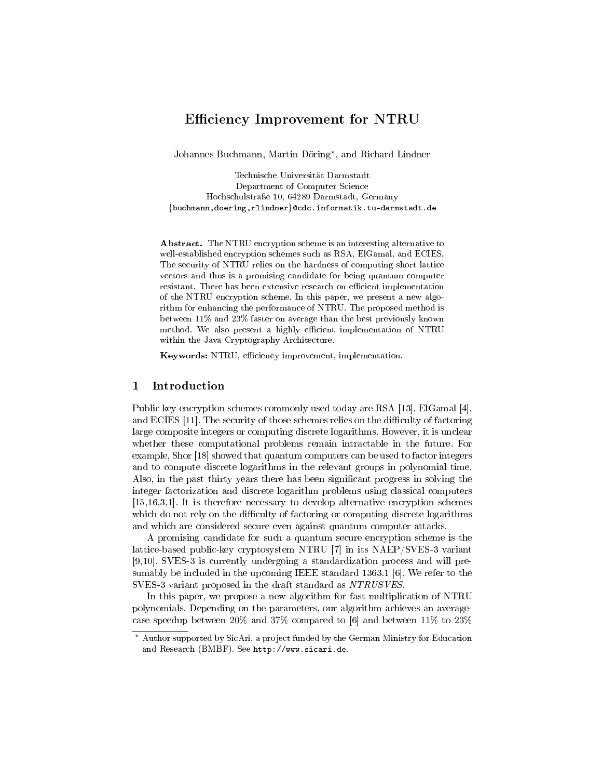# Efficiency Improvement for NTRU

Johannes Buchmann, Martin Döring\*, and Richard Lindner

Technische Universität Darmstadt Department of Computer Science Hochschulstraÿe 10, 64289 Darmstadt, Germany {buchmann,doering,rlindner}@cdc.informatik.tu-darmstadt.de

Abstract. The NTRU encryption scheme is an interesting alternative to well-established encryption schemes such as RSA, ElGamal, and ECIES. The security of NTRU relies on the hardness of computing short lattice vectors and thus is a promising candidate for being quantum computer resistant. There has been extensive research on efficient implementation of the NTRU encryption scheme. In this paper, we present a new algorithm for enhancing the performance of NTRU. The proposed method is between 11% and 23% faster on average than the best previously known method. We also present a highly efficient implementation of NTRU within the Java Cryptography Architecture.

Keywords: NTRU, efficiency improvement, implementation.

### 1 Introduction

Public key encryption schemes commonly used today are RSA [13], ElGamal [4], and ECIES  $[11]$ . The security of those schemes relies on the difficulty of factoring large composite integers or computing discrete logarithms. However, it is unclear whether these computational problems remain intractable in the future. For example, Shor [18] showed that quantum computers can be used to factor integers and to compute discrete logarithms in the relevant groups in polynomial time. Also, in the past thirty years there has been signicant progress in solving the integer factorization and discrete logarithm problems using classical computers [15,16,3,1]. It is therefore necessary to develop alternative encryption schemes which do not rely on the difficulty of factoring or computing discrete logarithms and which are considered secure even against quantum computer attacks.

A promising candidate for such a quantum secure encryption scheme is the lattice-based public-key cryptosystem NTRU [7] in its NAEP/SVES-3 variant [9,10]. SVES-3 is currently undergoing a standardization process and will presumably be included in the upcoming IEEE standard 1363.1 [6]. We refer to the SVES-3 variant proposed in the draft standard as NTRUSVES.

In this paper, we propose a new algorithm for fast multiplication of NTRU polynomials. Depending on the parameters, our algorithm achieves an averagecase speedup between 20% and 37% compared to [6] and between 11% to 23%

<sup>?</sup> Author supported by SicAri, a project funded by the German Ministry for Education and Research (BMBF). See http://www.sicari.de.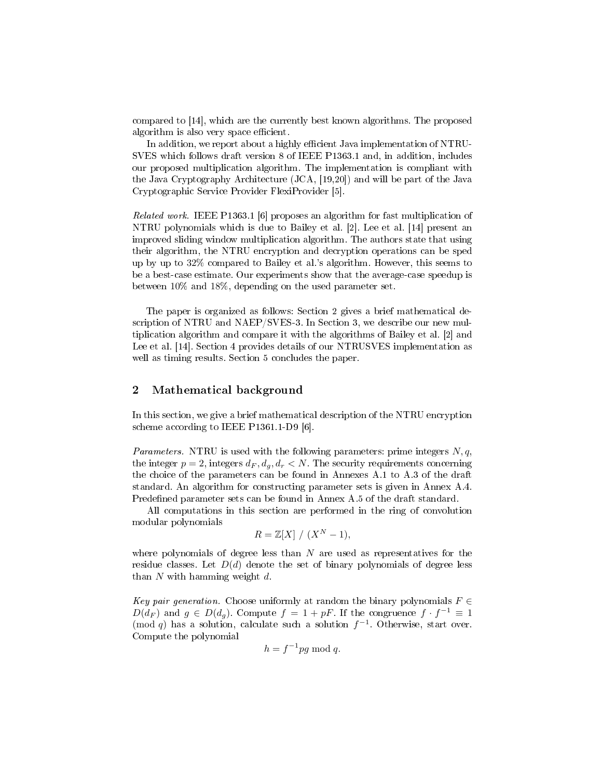compared to [14], which are the currently best known algorithms. The proposed algorithm is also very space efficient.

In addition, we report about a highly efficient Java implementation of NTRU-SVES which follows draft version 8 of IEEE P1363.1 and, in addition, includes our proposed multiplication algorithm. The implementation is compliant with the Java Cryptography Architecture (JCA, [19,20]) and will be part of the Java Cryptographic Service Provider FlexiProvider [5].

Related work. IEEE P1363.1 [6] proposes an algorithm for fast multiplication of NTRU polynomials which is due to Bailey et al. [2]. Lee et al. [14] present an improved sliding window multiplication algorithm. The authors state that using their algorithm, the NTRU encryption and decryption operations can be sped up by up to 32% compared to Bailey et al.'s algorithm. However, this seems to be a best-case estimate. Our experiments show that the average-case speedup is between 10% and 18%, depending on the used parameter set.

The paper is organized as follows: Section 2 gives a brief mathematical description of NTRU and NAEP/SVES-3. In Section 3, we describe our new multiplication algorithm and compare it with the algorithms of Bailey et al. [2] and Lee et al. [14]. Section 4 provides details of our NTRUSVES implementation as well as timing results. Section 5 concludes the paper.

## 2 Mathematical background

In this section, we give a brief mathematical description of the NTRU encryption scheme according to IEEE P1361.1-D9 [6].

*Parameters.* NTRU is used with the following parameters: prime integers  $N, q$ , the integer  $p = 2$ , integers  $d_F$ ,  $d_q$ ,  $d_r < N$ . The security requirements concerning the choice of the parameters can be found in Annexes A.1 to A.3 of the draft standard. An algorithm for constructing parameter sets is given in Annex A.4. Predefined parameter sets can be found in Annex A.5 of the draft standard.

All computations in this section are performed in the ring of convolution modular polynomials

$$
R = \mathbb{Z}[X] / (X^N - 1),
$$

where polynomials of degree less than  $N$  are used as representatives for the residue classes. Let  $D(d)$  denote the set of binary polynomials of degree less than  $N$  with hamming weight  $d$ .

Key pair generation. Choose uniformly at random the binary polynomials  $F \in$  $D(d_F)$  and  $g \in D(d_g)$ . Compute  $f = 1 + pF$ . If the congruence  $f \cdot f^{-1} \equiv 1$ (mod q) has a solution, calculate such a solution  $f^{-1}$ . Otherwise, start over. Compute the polynomial

$$
h = f^{-1}pg \bmod q.
$$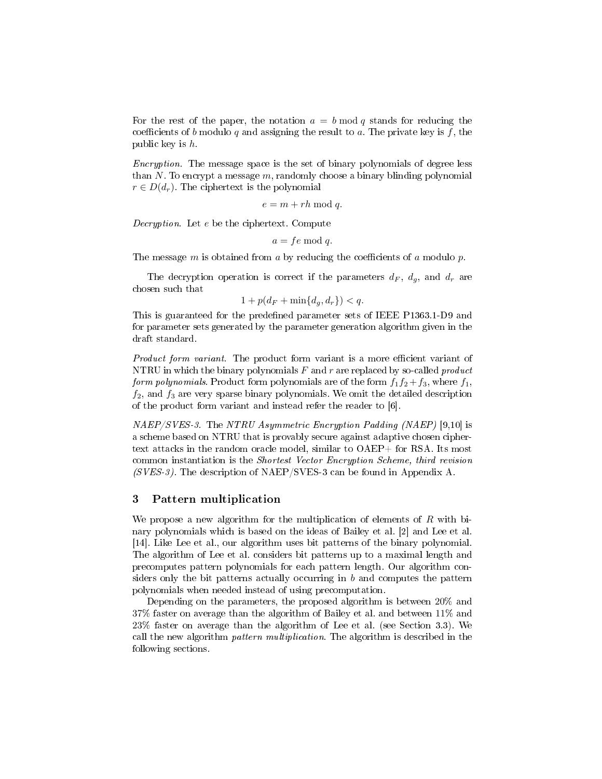For the rest of the paper, the notation  $a = b \mod q$  stands for reducing the coefficients of b modulo q and assigning the result to a. The private key is f, the public key is h.

Encryption. The message space is the set of binary polynomials of degree less than  $N$ . To encrypt a message  $m$ , randomly choose a binary blinding polynomial  $r \in D(d_r)$ . The ciphertext is the polynomial

 $e = m + rh \bmod q.$ 

Decryption. Let e be the ciphertext. Compute

 $a = fe \mod q$ .

The message  $m$  is obtained from  $a$  by reducing the coefficients of  $a$  modulo  $p$ .

The decryption operation is correct if the parameters  $d_F$ ,  $d_g$ , and  $d_r$  are chosen such that

 $1 + p(d_F + \min\{d_q, d_r\}) < q.$ 

This is guaranteed for the predefined parameter sets of IEEE P1363.1-D9 and for parameter sets generated by the parameter generation algorithm given in the draft standard.

Product form variant. The product form variant is a more efficient variant of NTRU in which the binary polynomials  $F$  and  $r$  are replaced by so-called *product* form polynomials. Product form polynomials are of the form  $f_1f_2 + f_3$ , where  $f_1$ ,  $f_2$ , and  $f_3$  are very sparse binary polynomials. We omit the detailed description of the product form variant and instead refer the reader to [6].

 $NAEP/SVES-3$ . The NTRU Asymmetric Encryption Padding (NAEP) [9,10] is a scheme based on NTRU that is provably secure against adaptive chosen ciphertext attacks in the random oracle model, similar to OAEP+ for RSA. Its most common instantiation is the Shortest Vector Encryption Scheme, third revision  $(SVES-3)$ . The description of NAEP/SVES-3 can be found in Appendix A.

## 3 Pattern multiplication

We propose a new algorithm for the multiplication of elements of  $R$  with binary polynomials which is based on the ideas of Bailey et al. [2] and Lee et al. [14]. Like Lee et al., our algorithm uses bit patterns of the binary polynomial. The algorithm of Lee et al. considers bit patterns up to a maximal length and precomputes pattern polynomials for each pattern length. Our algorithm considers only the bit patterns actually occurring in  $b$  and computes the pattern polynomials when needed instead of using precomputation.

Depending on the parameters, the proposed algorithm is between 20% and 37% faster on average than the algorithm of Bailey et al. and between 11% and 23% faster on average than the algorithm of Lee et al. (see Section 3.3). We call the new algorithm pattern multiplication. The algorithm is described in the following sections.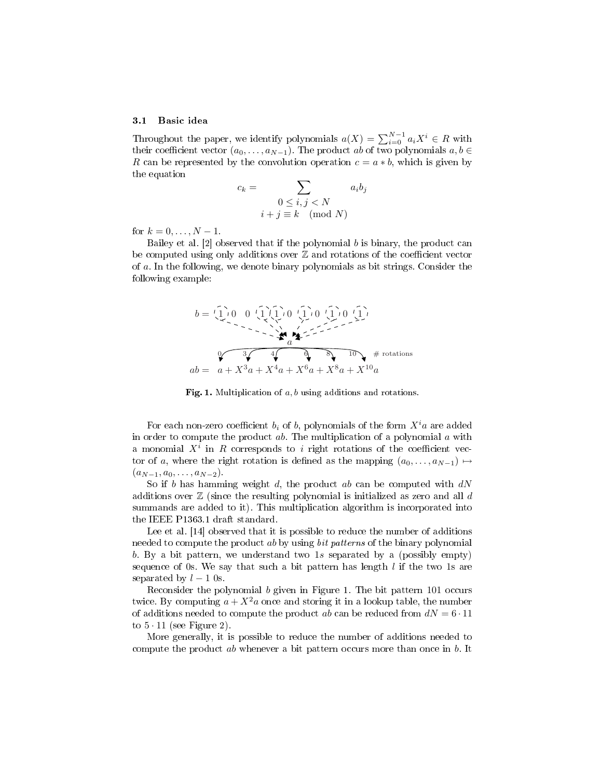#### 3.1 Basic idea

Throughout the paper, we identify polynomials  $a(X) = \sum_{i=0}^{N-1} a_i X^i \in R$  with their coefficient vector  $(a_0, \ldots, a_{N-1})$ . The product ab of two polynomials  $a, b \in$ R can be represented by the convolution operation  $c = a * b$ , which is given by the equation

$$
c_k = \sum_{\begin{array}{l}0 \le i,j < N\\i+j \equiv k \pmod{N}\end{array}}
$$

for  $k = 0, ..., N - 1$ .

Bailey et al.  $[2]$  observed that if the polynomial  $b$  is binary, the product can be computed using only additions over  $Z$  and rotations of the coefficient vector of a. In the following, we denote binary polynomials as bit strings. Consider the following example:



Fig. 1. Multiplication of  $a, b$  using additions and rotations.

For each non-zero coefficient  $b_i$  of b, polynomials of the form  $X^i a$  are added in order to compute the product  $ab$ . The multiplication of a polynomial  $a$  with a monomial  $X^i$  in R corresponds to i right rotations of the coefficient vector of a, where the right rotation is defined as the mapping  $(a_0, \ldots, a_{N-1}) \mapsto$  $(a_{N-1}, a_0, \ldots, a_{N-2}).$ 

So if b has hamming weight d, the product ab can be computed with  $dN$ additions over  $\mathbb Z$  (since the resulting polynomial is initialized as zero and all  $d$ summands are added to it). This multiplication algorithm is incorporated into the IEEE P1363.1 draft standard.

Lee et al. [14] observed that it is possible to reduce the number of additions needed to compute the product ab by using *bit patterns* of the binary polynomial b. By a bit pattern, we understand two 1s separated by a (possibly empty) sequence of 0s. We say that such a bit pattern has length  $l$  if the two 1s are separated by  $l - 1$  0s.

Reconsider the polynomial b given in Figure 1. The bit pattern 101 occurs twice. By computing  $a + X^2a$  once and storing it in a lookup table, the number of additions needed to compute the product ab can be reduced from  $dN = 6 \cdot 11$ to  $5 \cdot 11$  (see Figure 2).

More generally, it is possible to reduce the number of additions needed to compute the product ab whenever a bit pattern occurs more than once in b. It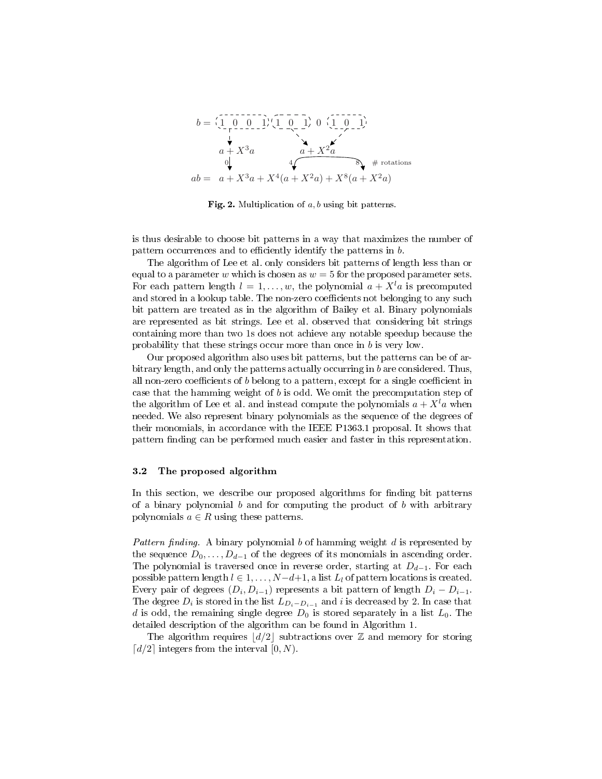

Fig. 2. Multiplication of  $a, b$  using bit patterns.

is thus desirable to choose bit patterns in a way that maximizes the number of pattern occurrences and to efficiently identify the patterns in  $b$ .

The algorithm of Lee et al. only considers bit patterns of length less than or equal to a parameter w which is chosen as  $w = 5$  for the proposed parameter sets. For each pattern length  $l = 1, \ldots, w$ , the polynomial  $a + X<sup>l</sup>a$  is precomputed and stored in a lookup table. The non-zero coefficients not belonging to any such bit pattern are treated as in the algorithm of Bailey et al. Binary polynomials are represented as bit strings. Lee et al. observed that considering bit strings containing more than two 1s does not achieve any notable speedup because the probability that these strings occur more than once in b is very low.

Our proposed algorithm also uses bit patterns, but the patterns can be of arbitrary length, and only the patterns actually occurring in b are considered. Thus, all non-zero coefficients of  $b$  belong to a pattern, except for a single coefficient in case that the hamming weight of b is odd. We omit the precomputation step of the algorithm of Lee et al. and instead compute the polynomials  $a + X<sup>l</sup>a$  when needed. We also represent binary polynomials as the sequence of the degrees of their monomials, in accordance with the IEEE P1363.1 proposal. It shows that pattern finding can be performed much easier and faster in this representation.

#### 3.2 The proposed algorithm

In this section, we describe our proposed algorithms for finding bit patterns of a binary polynomial b and for computing the product of b with arbitrary polynomials  $a \in R$  using these patterns.

Pattern finding. A binary polynomial b of hamming weight  $d$  is represented by the sequence  $D_0, \ldots, D_{d-1}$  of the degrees of its monomials in ascending order. The polynomial is traversed once in reverse order, starting at  $D_{d-1}$ . For each possible pattern length  $l \in 1, \ldots, N-d+1$ , a list  $L_l$  of pattern locations is created. Every pair of degrees  $(D_i, D_{i-1})$  represents a bit pattern of length  $D_i - D_{i-1}$ . The degree  $D_i$  is stored in the list  $L_{D_i-D_{i-1}}$  and i is decreased by 2. In case that d is odd, the remaining single degree  $D_0$  is stored separately in a list  $L_0$ . The detailed description of the algorithm can be found in Algorithm 1.

The algorithm requires  $\lfloor d/2 \rfloor$  subtractions over Z and memory for storing  $\lceil d/2 \rceil$  integers from the interval  $[0, N)$ .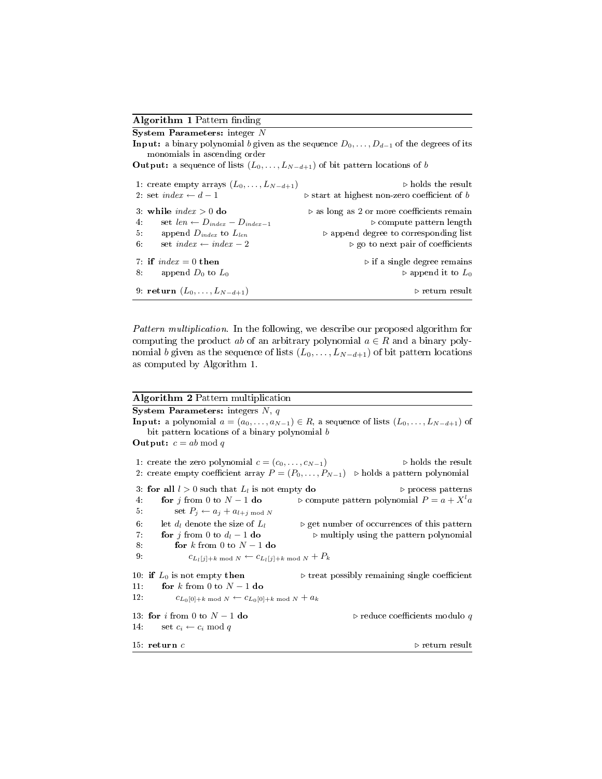## Algorithm 1 Pattern finding

| $\mathbf S$ ystem Parameters: integer $N$                                                   |                                                                                                        |
|---------------------------------------------------------------------------------------------|--------------------------------------------------------------------------------------------------------|
| monomials in ascending order                                                                | <b>Input:</b> a binary polynomial b given as the sequence $D_0, \ldots, D_{d-1}$ of the degrees of its |
| <b>Output:</b> a sequence of lists $(L_0, \ldots, L_{N-d+1})$ of bit pattern locations of b |                                                                                                        |
| 1: create empty arrays $(L_0, \ldots, L_{N-d+1})$                                           | $\triangleright$ holds the result                                                                      |
| 2. set index $\leftarrow d-1$                                                               | $\triangleright$ start at highest non-zero coefficient of b                                            |
| 3. while $index > 0$ do                                                                     | $\triangleright$ as long as 2 or more coefficients remain                                              |
| set $len \leftarrow D_{index} - D_{index-1}$<br>4.                                          | $\triangleright$ compute pattern length                                                                |
| append $D_{index}$ to $L_{len}$<br>5.                                                       | $\triangleright$ append degree to corresponding list                                                   |
| set index $\leftarrow$ index $-2$<br>6.                                                     | $\triangleright$ go to next pair of coefficients                                                       |
| 7 if $index = 0$ then                                                                       | $\triangleright$ if a single degree remains                                                            |
| append $D_0$ to $L_0$<br>8.                                                                 | $\triangleright$ append it to $L_0$                                                                    |
| 9: return $(L_0, \ldots, L_{N-d+1})$                                                        | $\triangleright$ return result                                                                         |

Pattern multiplication. In the following, we describe our proposed algorithm for computing the product ab of an arbitrary polynomial  $a \in R$  and a binary polynomial b given as the sequence of lists  $(L_0, \ldots, L_{N-d+1})$  of bit pattern locations as computed by Algorithm 1.

### Algorithm 2 Pattern multiplication

System Parameters: integers  $N, q$ **Input:** a polynomial  $a = (a_0, \ldots, a_{N-1}) \in R$ , a sequence of lists  $(L_0, \ldots, L_{N-d+1})$  of bit pattern locations of a binary polynomial b **Output:**  $c = ab \mod q$ 1: create the zero polynomial  $c = (c_0, \ldots, c_{N-1})$   $\triangleright$  holds the result 2: create empty coefficient array  $P = (P_0, \ldots, P_{N-1})$   $\triangleright$  holds a pattern polynomial 3: for all  $l > 0$  such that  $L_l$  is not empty **do**  $\triangleright$  process patterns 4: **for** j from 0 to  $N-1$  **do**  $\triangleright$  compute pattern polynomial  $P = a + X^l a$ 5: set  $P_j \leftarrow a_j + a_{l+j \bmod N}$ 6: let  $d_l$  denote the size of  $L_l$   $\longrightarrow$  get number of occurrences of this pattern 7: **for** j from 0 to  $d_l - 1$  **do**  $\longrightarrow$  multiply using the pattern polynomial 8: for k from 0 to  $N-1$  do 9:  $c_{L_l[j]+k \bmod N} \leftarrow c_{L_l[j]+k \bmod N} + P_k$ 10: if  $L_0$  is not empty then  $\triangleright$  treat possibly remaining single coefficient 11: for k from 0 to  $N-1$  do 12:  $c_{L_0[0]+k \bmod N} \leftarrow c_{L_0[0]+k \bmod N} + a_k$ 13: for *i* from 0 to  $N - 1$  do  $\triangleright$  reduce coefficients modulo q 14: set  $c_i \leftarrow c_i \mod q$ 15: return c  $\triangleright$  return result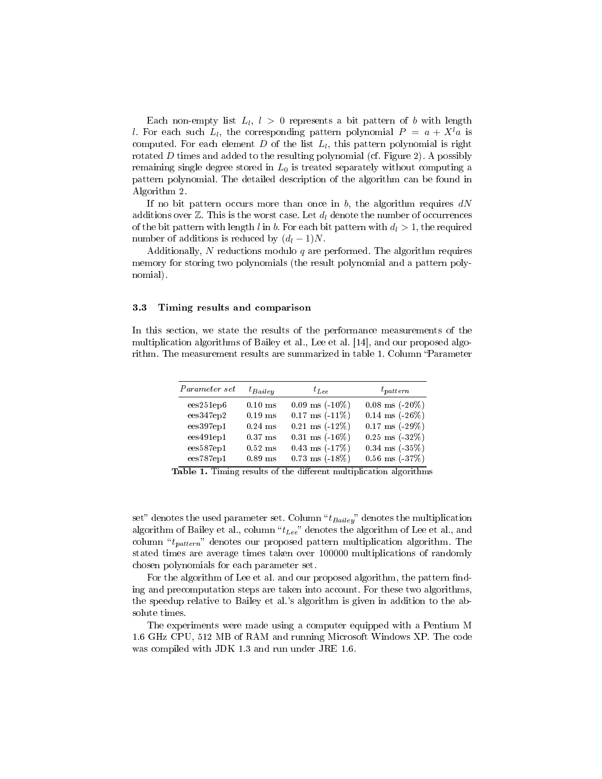Each non-empty list  $L_l$ ,  $l > 0$  represents a bit pattern of b with length l. For each such  $L_l$ , the corresponding pattern polynomial  $P = a + X^l a$  is computed. For each element  $D$  of the list  $L_l,$  this pattern polynomial is right rotated  $D$  times and added to the resulting polynomial (cf. Figure 2). A possibly remaining single degree stored in  $L_0$  is treated separately without computing a pattern polynomial. The detailed description of the algorithm can be found in Algorithm 2.

If no bit pattern occurs more than once in  $b$ , the algorithm requires  $dN$ additions over  $\mathbb{Z}$ . This is the worst case. Let  $d_l$  denote the number of occurrences of the bit pattern with length l in b. For each bit pattern with  $d_l > 1$ , the required number of additions is reduced by  $(d_l - 1)N$ .

Additionally, N reductions modulo  $q$  are performed. The algorithm requires memory for storing two polynomials (the result polynomial and a pattern polynomial).

#### 3.3 Timing results and comparison

In this section, we state the results of the performance measurements of the multiplication algorithms of Bailey et al., Lee et al. [14], and our proposed algorithm. The measurement results are summarized in table 1. Column "Parameter

| Parameter set | $t_{Bailev}$ | $t_{Lee}$                 | $t_{pattern}$       |
|---------------|--------------|---------------------------|---------------------|
| ees251ep6     | $0.10$ ms    | $0.09$ ms $(-10\%)$       | $0.08$ ms $(-20\%)$ |
| ees347ep2     | $0.19$ ms    | $0.17$ ms $(-11\%)$       | $0.14$ ms $(-26%)$  |
| ees397ep1     | $0.24$ ms    | $0.21$ ms $(-12\%)$       | $0.17$ ms $(-29\%)$ |
| ees491ep1     | $0.37$ ms    | $0.31 \text{ ms} (-16\%)$ | $0.25$ ms $(-32\%)$ |
| ees587ep1     | $0.52$ ms    | $0.43$ ms $(-17%)$        | $0.34$ ms $(-35%)$  |
| ees787ep1     | $0.89$ ms    | $0.73 \text{ ms} (-18\%)$ | $0.56$ ms $(-37%)$  |

Table 1. Timing results of the different multiplication algorithms

set" denotes the used parameter set. Column " $t_{Bailey}$ " denotes the multiplication algorithm of Bailey et al., column " $t_{Lee}$ " denotes the algorithm of Lee et al., and column " $t_{pattern}$ " denotes our proposed pattern multiplication algorithm. The stated times are average times taken over 100000 multiplications of randomly chosen polynomials for each parameter set.

For the algorithm of Lee et al. and our proposed algorithm, the pattern finding and precomputation steps are taken into account. For these two algorithms, the speedup relative to Bailey et al.'s algorithm is given in addition to the absolute times.

The experiments were made using a computer equipped with a Pentium M 1.6 GHz CPU, 512 MB of RAM and running Microsoft Windows XP. The code was compiled with JDK 1.3 and run under JRE 1.6.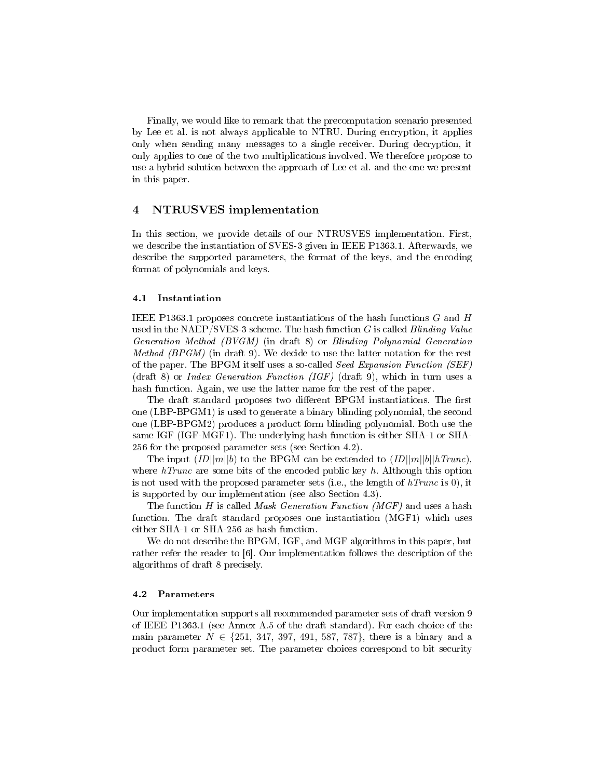Finally, we would like to remark that the precomputation scenario presented by Lee et al. is not always applicable to NTRU. During encryption, it applies only when sending many messages to a single receiver. During decryption, it only applies to one of the two multiplications involved. We therefore propose to use a hybrid solution between the approach of Lee et al. and the one we present in this paper.

## 4 NTRUSVES implementation

In this section, we provide details of our NTRUSVES implementation. First, we describe the instantiation of SVES-3 given in IEEE P1363.1. Afterwards, we describe the supported parameters, the format of the keys, and the encoding format of polynomials and keys.

#### 4.1 Instantiation

IEEE P1363.1 proposes concrete instantiations of the hash functions  $G$  and  $H$ used in the NAEP/SVES-3 scheme. The hash function  $G$  is called *Blinding Value* Generation Method (BVGM) (in draft 8) or Blinding Polynomial Generation Method (BPGM) (in draft 9). We decide to use the latter notation for the rest of the paper. The BPGM itself uses a so-called Seed Expansion Function (SEF) (draft 8) or *Index Generation Function (IGF)* (draft 9), which in turn uses a hash function. Again, we use the latter name for the rest of the paper.

The draft standard proposes two different BPGM instantiations. The first one (LBP-BPGM1) is used to generate a binary blinding polynomial, the second one (LBP-BPGM2) produces a product form blinding polynomial. Both use the same IGF (IGF-MGF1). The underlying hash function is either SHA-1 or SHA-256 for the proposed parameter sets (see Section 4.2).

The input  $ID||m||b$  to the BPGM can be extended to  $ID||m||b||hTrunc$ , where  $hTrunc$  are some bits of the encoded public key  $h$ . Although this option is not used with the proposed parameter sets (i.e., the length of  $hTrunc$  is 0), it is supported by our implementation (see also Section 4.3).

The function H is called *Mask Generation Function*  $(MGF)$  and uses a hash function. The draft standard proposes one instantiation (MGF1) which uses either SHA-1 or SHA-256 as hash function.

We do not describe the BPGM, IGF, and MGF algorithms in this paper, but rather refer the reader to [6]. Our implementation follows the description of the algorithms of draft 8 precisely.

#### 4.2 Parameters

Our implementation supports all recommended parameter sets of draft version 9 of IEEE P1363.1 (see Annex A.5 of the draft standard). For each choice of the main parameter  $N \in \{251, 347, 397, 491, 587, 787\}$ , there is a binary and a product form parameter set. The parameter choices correspond to bit security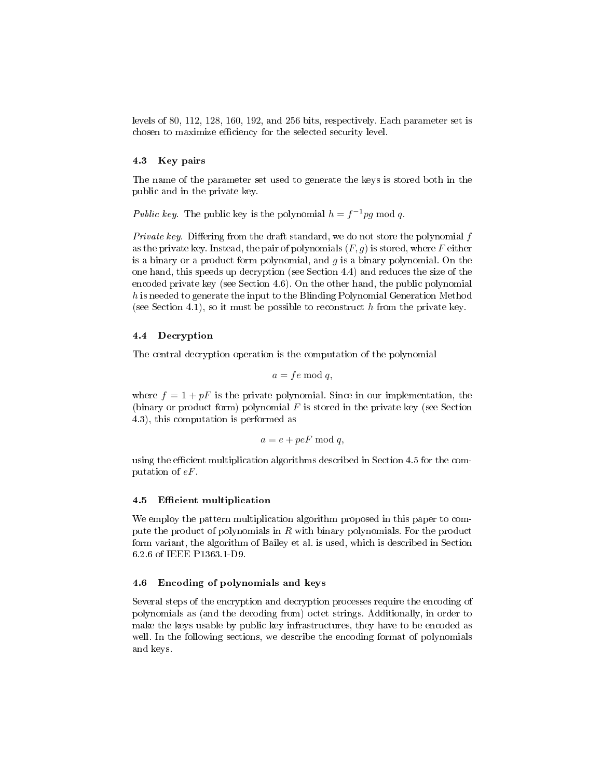levels of 80, 112, 128, 160, 192, and 256 bits, respectively. Each parameter set is chosen to maximize efficiency for the selected security level.

### 4.3 Key pairs

The name of the parameter set used to generate the keys is stored both in the public and in the private key.

Public key. The public key is the polynomial  $h = f^{-1}pg \mod q$ .

Private key. Differing from the draft standard, we do not store the polynomial  $f$ as the private key. Instead, the pair of polynomials  $(F, g)$  is stored, where F either is a binary or a product form polynomial, and  $g$  is a binary polynomial. On the one hand, this speeds up decryption (see Section 4.4) and reduces the size of the encoded private key (see Section 4.6). On the other hand, the public polynomial h is needed to generate the input to the Blinding Polynomial Generation Method (see Section 4.1), so it must be possible to reconstruct  $h$  from the private key.

## 4.4 Decryption

The central decryption operation is the computation of the polynomial

$$
a = fe \bmod q,
$$

where  $f = 1 + pF$  is the private polynomial. Since in our implementation, the (binary or product form) polynomial  $F$  is stored in the private key (see Section 4.3), this computation is performed as

$$
a = e + peF \bmod q,
$$

using the efficient multiplication algorithms described in Section 4.5 for the computation of eF.

#### 4.5 Efficient multiplication

We employ the pattern multiplication algorithm proposed in this paper to compute the product of polynomials in  $R$  with binary polynomials. For the product form variant, the algorithm of Bailey et al. is used, which is described in Section 6.2.6 of IEEE P1363.1-D9.

### 4.6 Encoding of polynomials and keys

Several steps of the encryption and decryption processes require the encoding of polynomials as (and the decoding from) octet strings. Additionally, in order to make the keys usable by public key infrastructures, they have to be encoded as well. In the following sections, we describe the encoding format of polynomials and keys.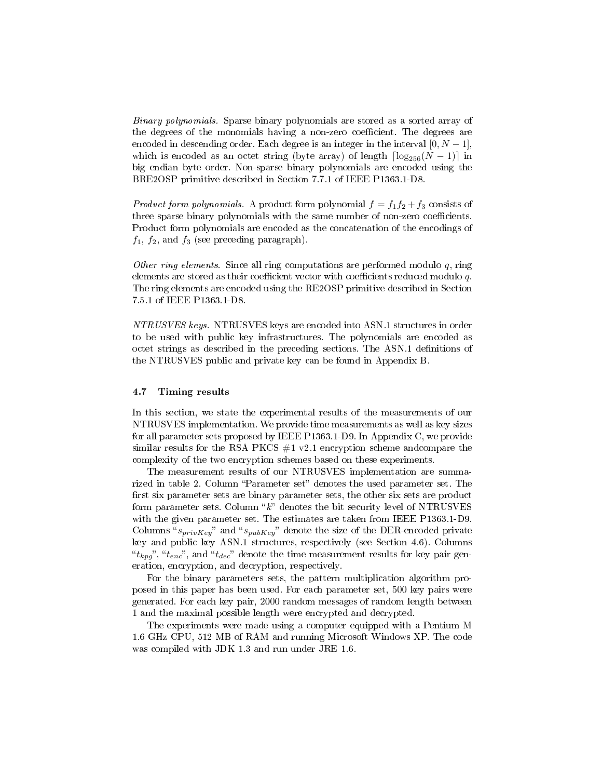Binary polynomials. Sparse binary polynomials are stored as a sorted array of the degrees of the monomials having a non-zero coefficient. The degrees are encoded in descending order. Each degree is an integer in the interval  $[0, N - 1]$ , which is encoded as an octet string (byte array) of length  $\lceil \log_{256}(N - 1) \rceil$  in big endian byte order. Non-sparse binary polynomials are encoded using the BRE2OSP primitive described in Section 7.7.1 of IEEE P1363.1-D8.

*Product form polynomials.* A product form polynomial  $f = f_1f_2 + f_3$  consists of three sparse binary polynomials with the same number of non-zero coefficients. Product form polynomials are encoded as the concatenation of the encodings of  $f_1$ ,  $f_2$ , and  $f_3$  (see preceding paragraph).

Other ring elements. Since all ring computations are performed modulo  $q$ , ring elements are stored as their coefficient vector with coefficients reduced modulo  $q$ . The ring elements are encoded using the RE2OSP primitive described in Section 7.5.1 of IEEE P1363.1-D8.

NTRUSVES keys. NTRUSVES keys are encoded into ASN.1 structures in order to be used with public key infrastructures. The polynomials are encoded as octet strings as described in the preceding sections. The ASN.1 definitions of the NTRUSVES public and private key can be found in Appendix B.

#### 4.7 Timing results

In this section, we state the experimental results of the measurements of our NTRUSVES implementation. We provide time measurements as well as key sizes for all parameter sets proposed by IEEE P1363.1-D9. In Appendix C, we provide similar results for the RSA PKCS  $#1$  v2.1 encryption scheme andcompare the complexity of the two encryption schemes based on these experiments.

The measurement results of our NTRUSVES implementation are summarized in table 2. Column "Parameter set" denotes the used parameter set. The first six parameter sets are binary parameter sets, the other six sets are product form parameter sets. Column " $k$ " denotes the bit security level of NTRUSVES with the given parameter set. The estimates are taken from IEEE P1363.1-D9. Columns " $s_{privKey}$ " and " $s_{pubKey}$ " denote the size of the DER-encoded private key and public key ASN.1 structures, respectively (see Section 4.6). Columns " $t_{kpg}$ ", " $t_{enc}$ ", and " $t_{dec}$ " denote the time measurement results for key pair generation, encryption, and decryption, respectively.

For the binary parameters sets, the pattern multiplication algorithm proposed in this paper has been used. For each parameter set, 500 key pairs were generated. For each key pair, 2000 random messages of random length between 1 and the maximal possible length were encrypted and decrypted.

The experiments were made using a computer equipped with a Pentium M 1.6 GHz CPU, 512 MB of RAM and running Microsoft Windows XP. The code was compiled with JDK 1.3 and run under JRE 1.6.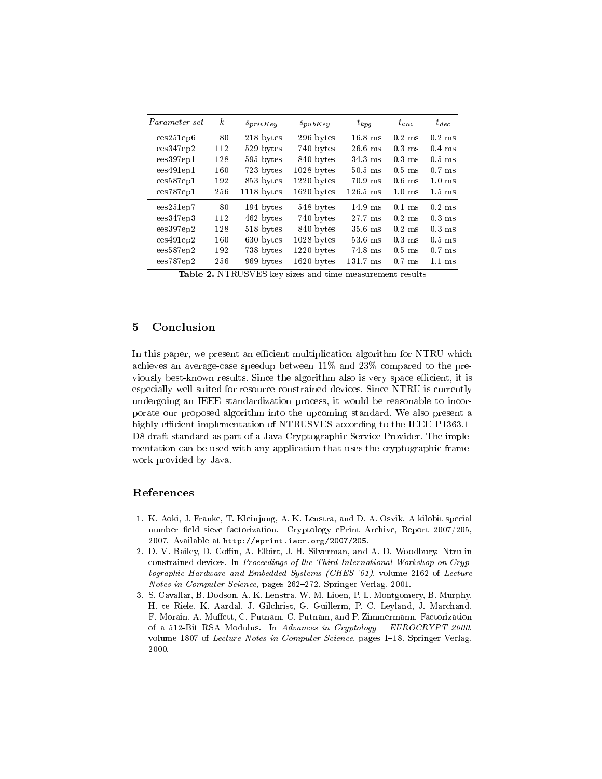| <i>Parameter set</i> | $\boldsymbol{k}$ | $s_{privKey}$ | $s_{pubKey}$ | $t_{kpq}$          | $t_{enc}$        | $t_{dec}$        |
|----------------------|------------------|---------------|--------------|--------------------|------------------|------------------|
| ees251ep6            | 80               | 218 bytes     | 296 bytes    | $16.8$ ms          | $0.2$ ms         | $0.2$ ms         |
| ees347ep2            | 112              | 529 bytes     | 740 bytes    | $26.6$ ms          | $0.3$ ms         | $0.4$ ms         |
| ees397ep1            | 128              | 595 bytes     | 840 bytes    | $34.3$ ms          | $0.3$ ms         | $0.5$ ms         |
| ees491ep1            | 160              | 723 bytes     | $1028$ bytes | $50.5$ ms          | $0.5$ ms         | $0.7$ ms         |
| ees587ep1            | 192              | 853 bytes     | $1220$ bytes | $70.9$ ms          | $0.6$ ms         | $1.0 \text{ ms}$ |
| ees787ep1            | 256              | 1118 bytes    | $1620$ bytes | $126.5 \text{ ms}$ | $1.0 \text{ ms}$ | $1.5 \text{ ms}$ |
| ees251ep7            | 80               | 194 bytes     | 548 bytes    | $14.9$ ms          | $0.1$ ms         | $0.2$ ms         |
| ees347ep3            | 112              | 462 bytes     | 740 bytes    | 27.7 ms            | $0.2$ ms         | $0.3$ ms         |
| ees397ep2            | 128              | 518 bytes     | 840 bytes    | $35.6$ ms          | $0.2$ ms         | $0.3$ ms         |
| ees491ep2            | 160              | 630 bytes     | $1028$ bytes | $53.6$ ms          | $0.3$ ms         | $0.5$ ms         |
| ees587ep2            | 192              | 738 bytes     | $1220$ bytes | 74.8 ms            | $0.5$ ms         | $0.7$ ms         |
| ees787ep2            | 256              | 969 bytes     | $1620$ bytes | $131.7$ ms         | $0.7$ ms         | $1.1$ ms         |

Table 2. NTRUSVES key sizes and time measurement results

## 5 Conclusion

In this paper, we present an efficient multiplication algorithm for NTRU which achieves an average-case speedup between 11% and 23% compared to the previously best-known results. Since the algorithm also is very space efficient, it is especially well-suited for resource-constrained devices. Since NTRU is currently undergoing an IEEE standardization process, it would be reasonable to incorporate our proposed algorithm into the upcoming standard. We also present a highly efficient implementation of NTRUSVES according to the IEEE P1363.1-D8 draft standard as part of a Java Cryptographic Service Provider. The implementation can be used with any application that uses the cryptographic framework provided by Java.

## References

- 1. K. Aoki, J. Franke, T. Kleinjung, A. K. Lenstra, and D. A. Osvik. A kilobit special number field sieve factorization. Cryptology ePrint Archive, Report 2007/205, 2007. Available at http://eprint.iacr.org/2007/205.
- 2. D. V. Bailey, D. Coffin, A. Elbirt, J. H. Silverman, and A. D. Woodbury. Ntru in constrained devices. In Proceedings of the Third International Workshop on Cryptographic Hardware and Embedded Systems (CHES '01), volume 2162 of Lecture Notes in Computer Science, pages 262-272. Springer Verlag, 2001.
- 3. S. Cavallar, B. Dodson, A. K. Lenstra, W. M. Lioen, P. L. Montgomery, B. Murphy, H. te Riele, K. Aardal, J. Gilchrist, G. Guillerm, P. C. Leyland, J. Marchand, F. Morain, A. Muffett, C. Putnam, C. Putnam, and P. Zimmermann. Factorization of a 512-Bit RSA Modulus. In Advances in Cryptology - EUROCRYPT 2000, volume 1807 of Lecture Notes in Computer Science, pages 1-18. Springer Verlag, 2000.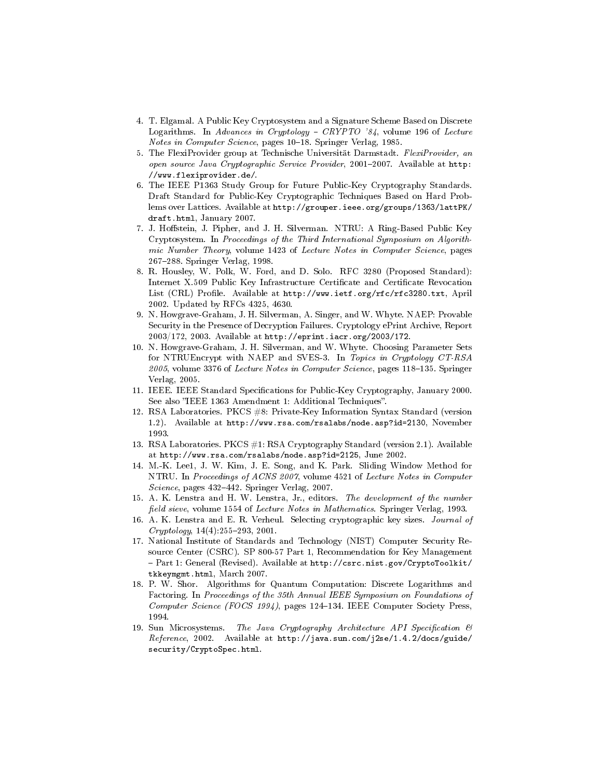- 4. T. Elgamal. A Public Key Cryptosystem and a Signature Scheme Based on Discrete Logarithms. In Advances in Cryptology  $-$  CRYPTO  $34$ , volume 196 of Lecture Notes in Computer Science, pages 10-18. Springer Verlag, 1985.
- 5. The FlexiProvider group at Technische Universität Darmstadt. FlexiProvider, an open source Java Cryptographic Service Provider, 2001-2007. Available at  $http://www.1001-2007.$ //www.flexiprovider.de/.
- 6. The IEEE P1363 Study Group for Future Public-Key Cryptography Standards. Draft Standard for Public-Key Cryptographic Techniques Based on Hard Problems over Lattices. Available at http://grouper.ieee.org/groups/1363/lattPK/ draft.html, January 2007.
- 7. J. Hostein, J. Pipher, and J. H. Silverman. NTRU: A Ring-Based Public Key Cryptosystem. In Proceedings of the Third International Symposium on Algorithmic Number Theory, volume 1423 of Lecture Notes in Computer Science, pages 267288. Springer Verlag, 1998.
- 8. R. Housley, W. Polk, W. Ford, and D. Solo. RFC 3280 (Proposed Standard): Internet X.509 Public Key Infrastructure Certificate and Certificate Revocation List (CRL) Profile. Available at http://www.ietf.org/rfc/rfc3280.txt, April 2002. Updated by RFCs 4325, 4630.
- 9. N. Howgrave-Graham, J. H. Silverman, A. Singer, and W. Whyte. NAEP: Provable Security in the Presence of Decryption Failures. Cryptology ePrint Archive, Report 2003/172, 2003. Available at http://eprint.iacr.org/2003/172.
- 10. N. Howgrave-Graham, J. H. Silverman, and W. Whyte. Choosing Parameter Sets for NTRUEncrypt with NAEP and SVES-3. In Topics in Cryptology CT-RSA  $2005$ , volume 3376 of *Lecture Notes in Computer Science*, pages 118–135. Springer Verlag, 2005.
- 11. IEEE. IEEE Standard Specifications for Public-Key Cryptography, January 2000. See also "IEEE 1363 Amendment 1: Additional Techniques".
- 12. RSA Laboratories. PKCS #8: Private-Key Information Syntax Standard (version 1.2). Available at http://www.rsa.com/rsalabs/node.asp?id=2130, November 1993.
- 13. RSA Laboratories. PKCS #1: RSA Cryptography Standard (version 2.1). Available at http://www.rsa.com/rsalabs/node.asp?id=2125, June 2002.
- 14. M.-K. Lee1, J. W. Kim, J. E. Song, and K. Park. Sliding Window Method for NTRU. In Proceedings of ACNS 2007, volume 4521 of Lecture Notes in Computer Science, pages 432-442. Springer Verlag, 2007.
- 15. A. K. Lenstra and H. W. Lenstra, Jr., editors. The development of the number field sieve, volume 1554 of Lecture Notes in Mathematics. Springer Verlag, 1993.
- 16. A. K. Lenstra and E. R. Verheul. Selecting cryptographic key sizes. Journal of  $Cryptology, 14(4):255-293, 2001.$
- 17. National Institute of Standards and Technology (NIST) Computer Security Resource Center (CSRC). SP 800-57 Part 1, Recommendation for Key Management - Part 1: General (Revised). Available at http://csrc.nist.gov/CryptoToolkit/ tkkeymgmt.html, March 2007.
- 18. P. W. Shor. Algorithms for Quantum Computation: Discrete Logarithms and Factoring. In Proceedings of the 35th Annual IEEE Symposium on Foundations of Computer Science (FOCS 1994), pages 124-134. IEEE Computer Society Press, 1994.
- 19. Sun Microsystems. The Java Cryptography Architecture API Specification & Reference, 2002. Available at http://java.sun.com/j2se/1.4.2/docs/guide/ security/CryptoSpec.html.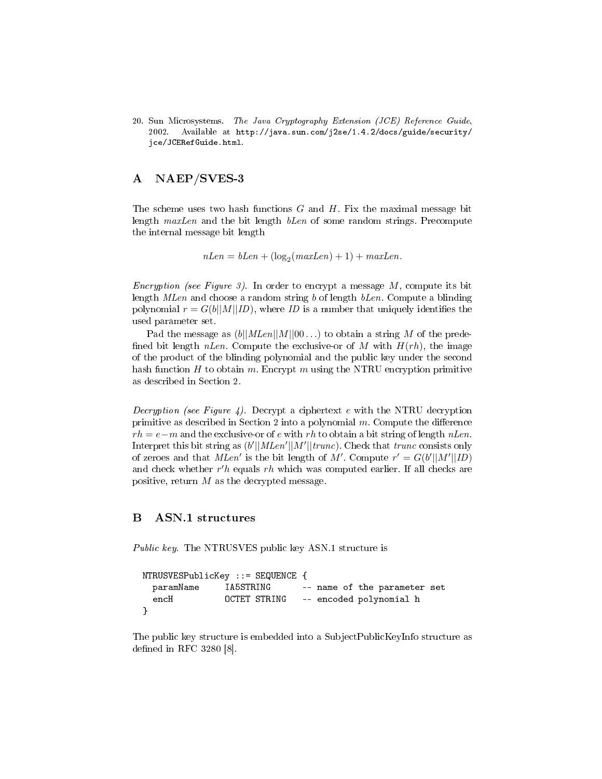20. Sun Microsystems. The Java Cryptography Extension (JCE) Reference Guide, 2002. Available at http://java.sun.com/j2se/1.4.2/docs/guide/security/ jce/JCERefGuide.html.

## A NAEP/SVES-3

The scheme uses two hash functions  $G$  and  $H$ . Fix the maximal message bit length *maxLen* and the bit length *bLen* of some random strings. Precompute the internal message bit length

 $nLen = bLen + (\log_2(maxLen) + 1) + maxLen.$ 

Encryption (see Figure 3). In order to encrypt a message  $M$ , compute its bit length *MLen* and choose a random string b of length bLen. Compute a blinding polynomial  $r = G(b||M||ID)$ , where ID is a number that uniquely identifies the used parameter set.

Pad the message as  $(b||MLen||M||00...)$  to obtain a string M of the predefined bit length *nLen*. Compute the exclusive-or of M with  $H(rh)$ , the image of the product of the blinding polynomial and the public key under the second hash function H to obtain m. Encrypt m using the NTRU encryption primitive as described in Section 2.

Decryption (see Figure 4). Decrypt a ciphertext e with the NTRU decryption primitive as described in Section 2 into a polynomial  $m$ . Compute the difference  $rh = e-m$  and the exclusive-or of e with rh to obtain a bit string of length nLen. Interpret this bit string as  $(b'||MLen'||M'||trunc)$ . Check that trunc consists only of zeroes and that  $MLen'$  is the bit length of M'. Compute  $r' = G(b'||M'||ID)$ and check whether  $r'h$  equals  $rh$  which was computed earlier. If all checks are positive, return  $M$  as the decrypted message.

## B ASN.1 structures

Public key. The NTRUSVES public key ASN.1 structure is

```
NTRUSVESPublicKey ::= SEQUENCE {
 paramName IA5STRING -- name of the parameter set
  encH OCTET STRING -- encoded polynomial h
}
```
The public key structure is embedded into a SubjectPublicKeyInfo structure as defined in RFC 3280  $[8]$ .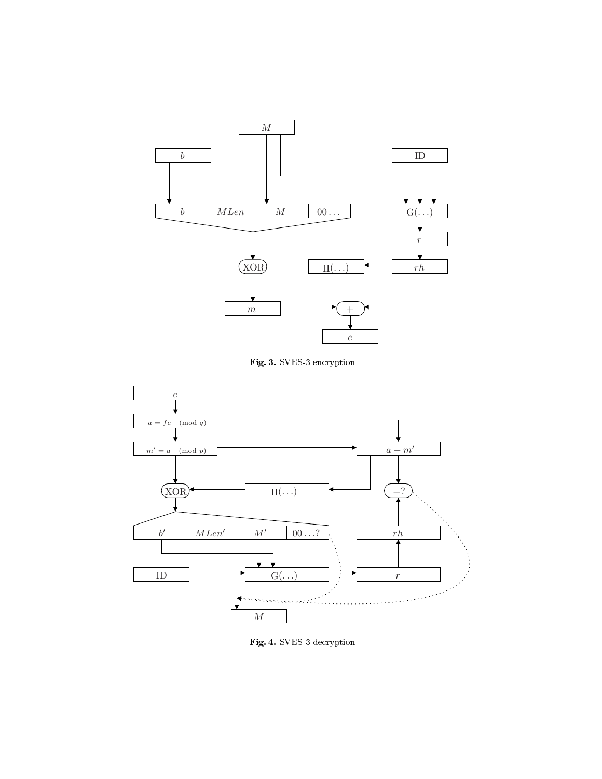





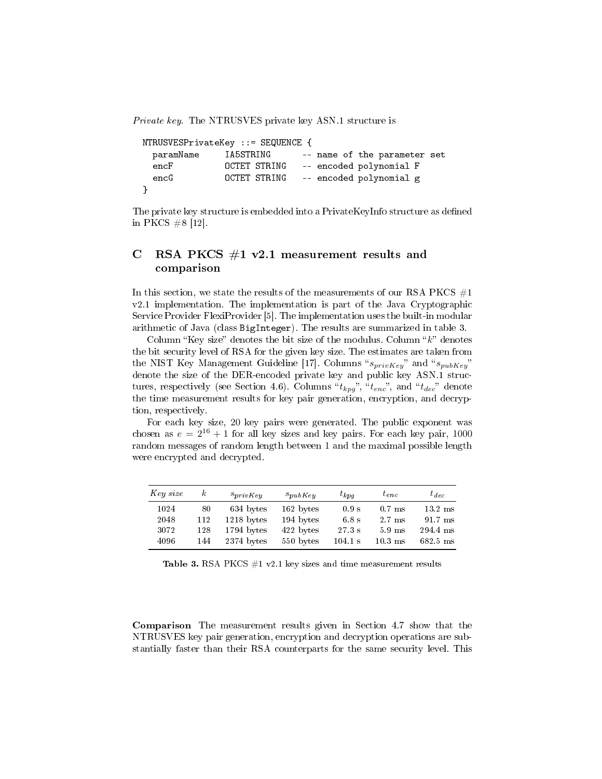Private key. The NTRUSVES private key ASN.1 structure is

```
NTRUSVESPrivateKey ::= SEQUENCE {
 paramName IA5STRING -- name of the parameter set
 encF OCTET STRING -- encoded polynomial F
 encG OCTET STRING -- encoded polynomial g
}
```
The private key structure is embedded into a PrivateKeyInfo structure as defined in PKCS #8 [12].

# C RSA PKCS  $#1$  v2.1 measurement results and comparison

In this section, we state the results of the measurements of our RSA PKCS  $#1$ v2.1 implementation. The implementation is part of the Java Cryptographic Service Provider FlexiProvider [5]. The implementation uses the built-in modular arithmetic of Java (class BigInteger). The results are summarized in table 3.

Column "Key size" denotes the bit size of the modulus. Column " $k$ " denotes the bit security level of RSA for the given key size. The estimates are taken from the NIST Key Management Guideline [17]. Columns " $s_{privKey}$ " and " $s_{pubKey}$ " denote the size of the DER-encoded private key and public key ASN.1 structures, respectively (see Section 4.6). Columns " $t_{kpg}$ ", " $t_{enc}$ ", and " $t_{dec}$ " denote the time measurement results for key pair generation, encryption, and decryption, respectively.

For each key size, 20 key pairs were generated. The public exponent was chosen as  $e = 2^{16} + 1$  for all key sizes and key pairs. For each key pair, 1000 random messages of random length between 1 and the maximal possible length were encrypted and decrypted.

| Key size | $\kappa$ | $s_{privKey}$ | $s_{pubKey}$ | $t_{kpa}$         | $t_{enc}$        | $t_{dec}$          |
|----------|----------|---------------|--------------|-------------------|------------------|--------------------|
| 1024     | 80       | 634 bytes     | 162 bytes    | $0.9 \mathrm{s}$  | $0.7$ ms         | $13.2 \text{ ms}$  |
| 2048     | 112      | $1218$ bytes  | 194 bytes    | 6.8 s             | 2.7 ms           | $91.7 \text{ ms}$  |
| 3072     | 128      | 1794 bytes    | 422 bytes    | $27.3~\mathrm{s}$ | $5.9 \text{ ms}$ | 294.4 ms           |
| 4096     | 144      | $2374$ bytes  | 550 bytes    | $104.1 \text{ s}$ | $10.3$ ms        | $682.5 \text{ ms}$ |

Table 3. RSA PKCS  $#1$  v2.1 key sizes and time measurement results

Comparison The measurement results given in Section 4.7 show that the NTRUSVES key pair generation, encryption and decryption operations are substantially faster than their RSA counterparts for the same security level. This